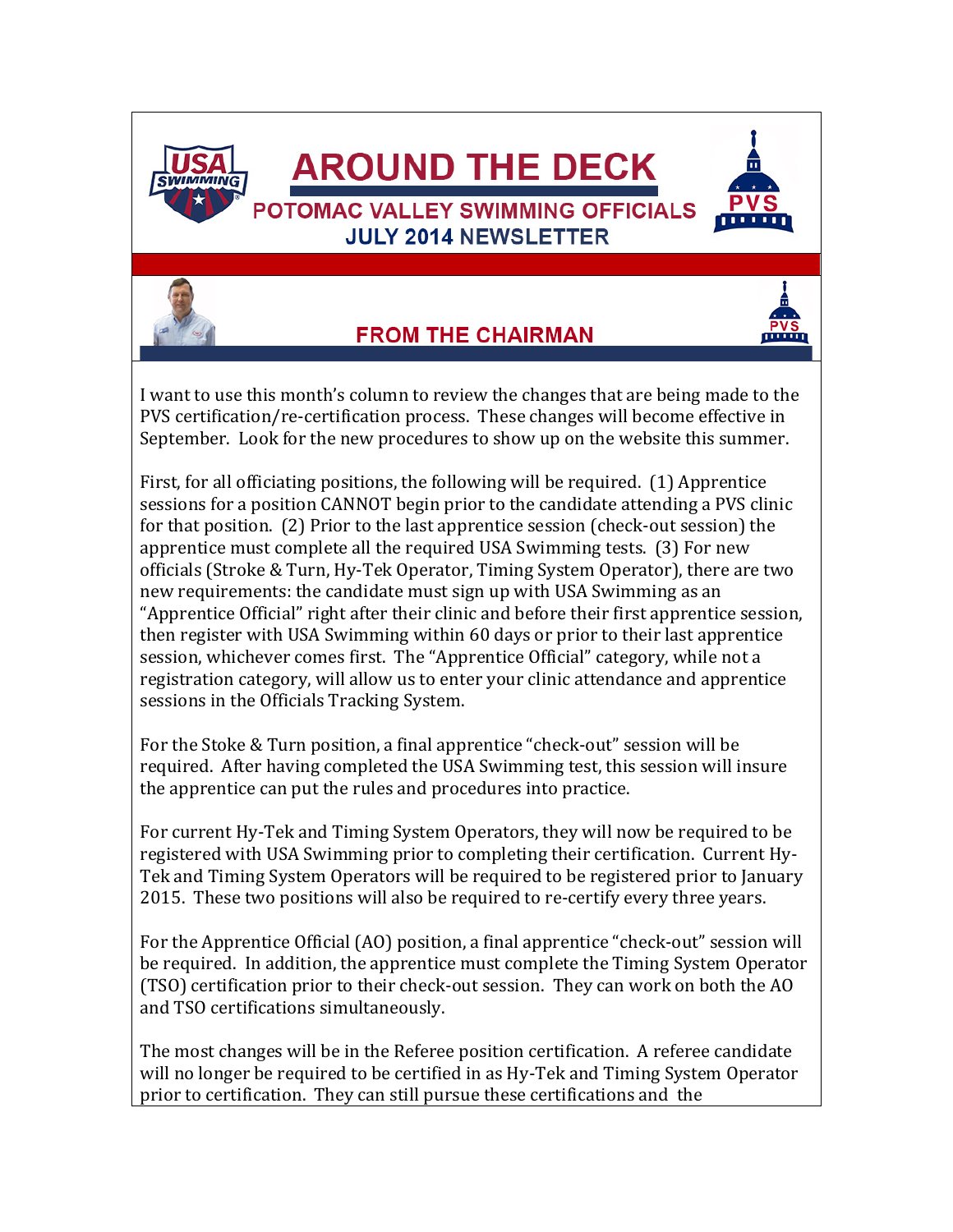



## **FROM THE CHAIRMAN**



I want to use this month's column to review the changes that are being made to the PVS certification/re-certification process. These changes will become effective in September. Look for the new procedures to show up on the website this summer.

First, for all officiating positions, the following will be required. (1) Apprentice sessions for a position CANNOT begin prior to the candidate attending a PVS clinic for that position. (2) Prior to the last apprentice session (check-out session) the apprentice must complete all the required USA Swimming tests. (3) For new officials (Stroke & Turn, Hy-Tek Operator, Timing System Operator), there are two new requirements: the candidate must sign up with USA Swimming as an "Apprentice Official" right after their clinic and before their first apprentice session, then register with USA Swimming within 60 days or prior to their last apprentice session, whichever comes first. The "Apprentice Official" category, while not a registration category, will allow us to enter your clinic attendance and apprentice sessions in the Officials Tracking System.

For the Stoke & Turn position, a final apprentice "check-out" session will be required. After having completed the USA Swimming test, this session will insure the apprentice can put the rules and procedures into practice.

For current Hy-Tek and Timing System Operators, they will now be required to be registered with USA Swimming prior to completing their certification. Current Hy-Tek and Timing System Operators will be required to be registered prior to January 2015. These two positions will also be required to re-certify every three years.

For the Apprentice Official (AO) position, a final apprentice "check-out" session will be required. In addition, the apprentice must complete the Timing System Operator (TSO) certification prior to their check-out session. They can work on both the AO and TSO certifications simultaneously.

The most changes will be in the Referee position certification. A referee candidate will no longer be required to be certified in as Hy-Tek and Timing System Operator prior to certification. They can still pursue these certifications and the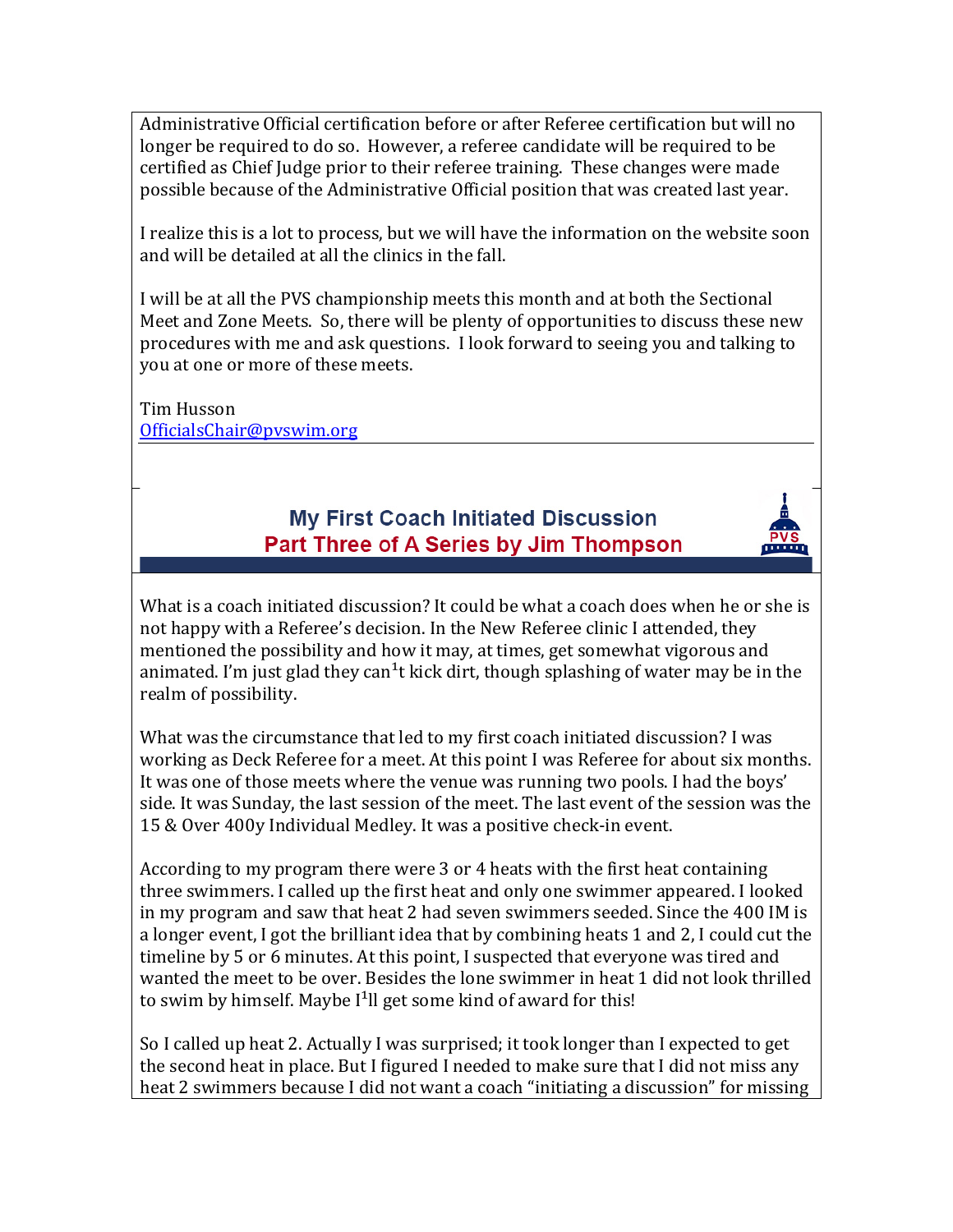Administrative Official certification before or after Referee certification but will no longer be required to do so. However, a referee candidate will be required to be certified as Chief Judge prior to their referee training. These changes were made possible because of the Administrative Official position that was created last year.

I realize this is a lot to process, but we will have the information on the website soon and will be detailed at all the clinics in the fall.

I will be at all the PVS championship meets this month and at both the Sectional Meet and Zone Meets. So, there will be plenty of opportunities to discuss these new procedures with me and ask questions. I look forward to seeing you and talking to you at one or more of these meets.

Tim Husson [OfficialsChair@pvswim.org](mailto:OfficialsChair@pvswim.org)

#### My First Coach Initiated Discussion Part Three of A Series by Jim Thompson

nining parties

What is a coach initiated discussion? It could be what a coach does when he or she is not happy with a Referee's decision. In the New Referee clinic I attended, they mentioned the possibility and how it may, at times, get somewhat vigorous and animated. I'm just glad they can<sup>1</sup>t kick dirt, though splashing of water may be in the realm of possibility.

What was the circumstance that led to my first coach initiated discussion? I was working as Deck Referee for a meet. At this point I was Referee for about six months. It was one of those meets where the venue was running two pools. I had the boys' side. It was Sunday, the last session of the meet. The last event of the session was the 15 & Over 400y Individual Medley. It was a positive check-in event.

According to my program there were 3 or 4 heats with the first heat containing three swimmers. I called up the first heat and only one swimmer appeared. I looked in my program and saw that heat 2 had seven swimmers seeded. Since the 400 IM is a longer event, I got the brilliant idea that by combining heats 1 and 2, I could cut the timeline by 5 or 6 minutes. At this point, I suspected that everyone was tired and wanted the meet to be over. Besides the lone swimmer in heat 1 did not look thrilled to swim by himself. Maybe  $I<sup>1</sup>$ ll get some kind of award for this!

So I called up heat 2. Actually I was surprised; it took longer than I expected to get the second heat in place. But I figured I needed to make sure that I did not miss any heat 2 swimmers because I did not want a coach "initiating a discussion" for missing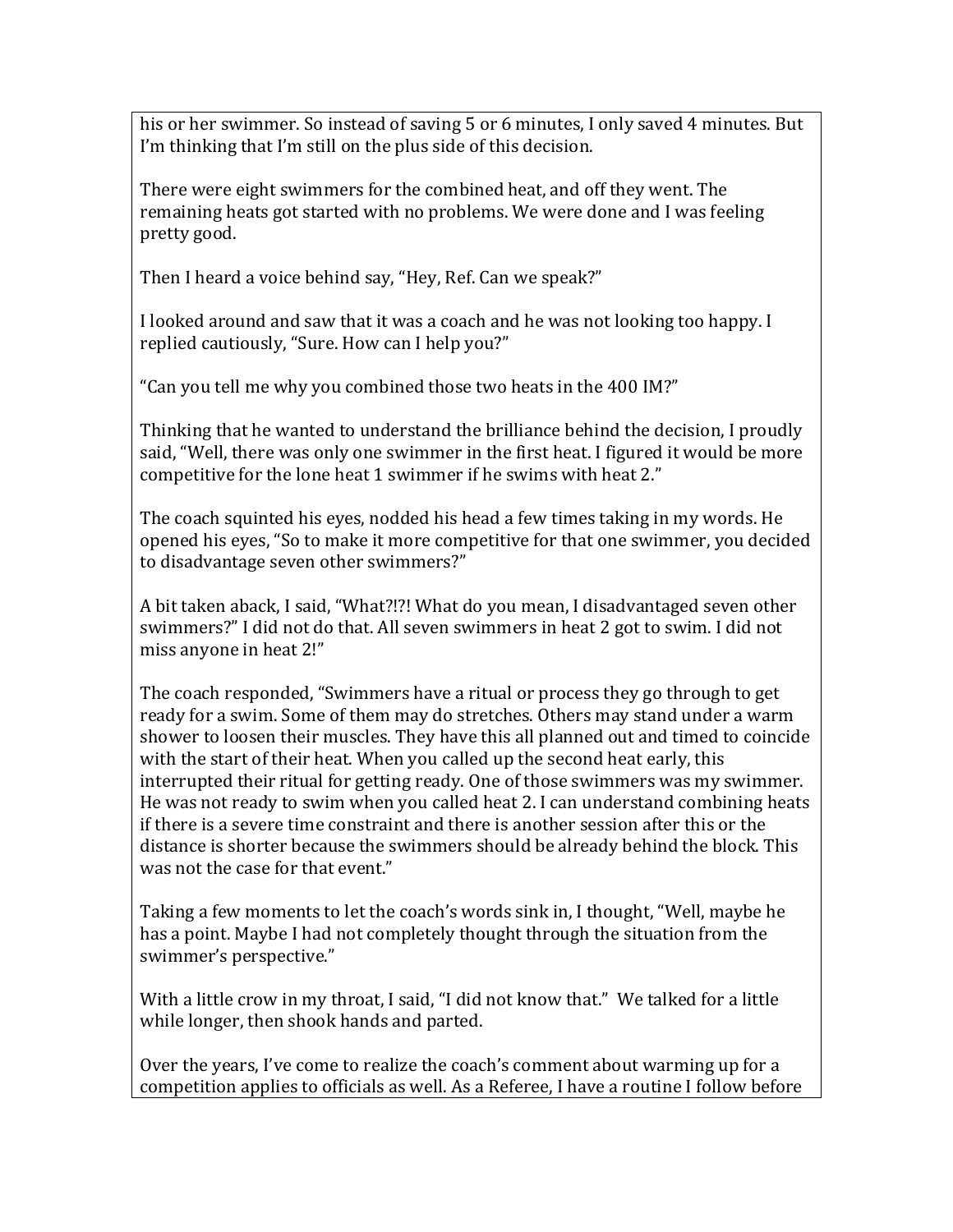his or her swimmer. So instead of saving 5 or 6 minutes, I only saved 4 minutes. But I'm thinking that I'm still on the plus side of this decision.

There were eight swimmers for the combined heat, and off they went. The remaining heats got started with no problems. We were done and I was feeling pretty good.

Then I heard a voice behind say, "Hey, Ref. Can we speak?"

I looked around and saw that it was a coach and he was not looking too happy. I replied cautiously, "Sure. How can I help you?"

"Can you tell me why you combined those two heats in the 400 IM?"

Thinking that he wanted to understand the brilliance behind the decision, I proudly said, "Well, there was only one swimmer in the first heat. I figured it would be more competitive for the lone heat 1 swimmer if he swims with heat 2."

The coach squinted his eyes, nodded his head a few times taking in my words. He opened his eyes, "So to make it more competitive for that one swimmer, you decided to disadvantage seven other swimmers?"

A bit taken aback, I said, "What?!?! What do you mean, I disadvantaged seven other swimmers?" I did not do that. All seven swimmers in heat 2 got to swim. I did not miss anyone in heat 2!"

The coach responded, "Swimmers have a ritual or process they go through to get ready for a swim. Some of them may do stretches. Others may stand under a warm shower to loosen their muscles. They have this all planned out and timed to coincide with the start of their heat. When you called up the second heat early, this interrupted their ritual for getting ready. One of those swimmers was my swimmer. He was not ready to swim when you called heat 2. I can understand combining heats if there is a severe time constraint and there is another session after this or the distance is shorter because the swimmers should be already behind the block. This was not the case for that event."

Taking a few moments to let the coach's words sink in, I thought, "Well, maybe he has a point. Maybe I had not completely thought through the situation from the swimmer's perspective."

With a little crow in my throat, I said, "I did not know that." We talked for a little while longer, then shook hands and parted.

Over the years, I've come to realize the coach's comment about warming up for a competition applies to officials as well. As a Referee, I have a routine I follow before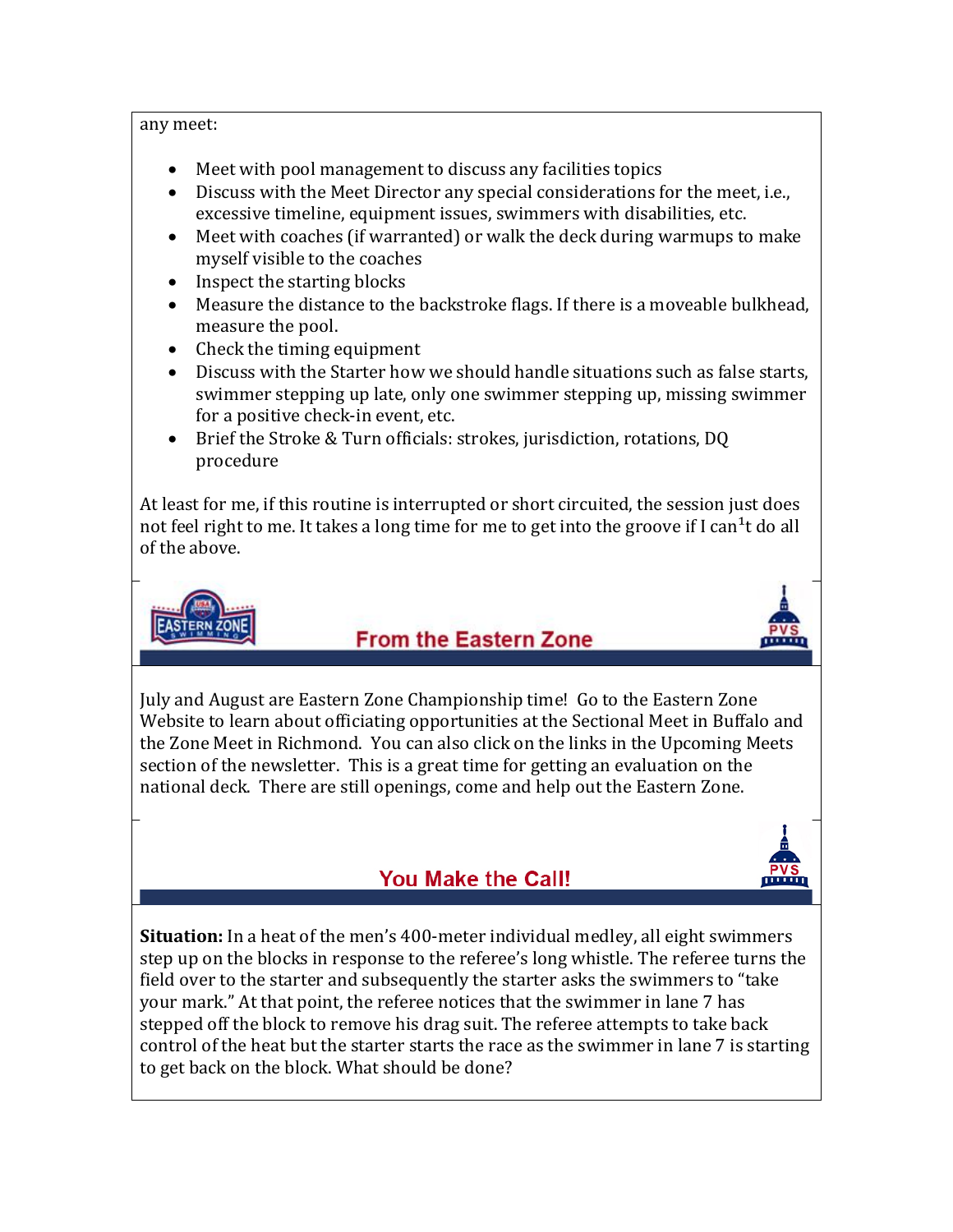#### any meet:

- Meet with pool management to discuss any facilities topics
- Discuss with the Meet Director any special considerations for the meet, i.e., excessive timeline, equipment issues, swimmers with disabilities, etc.
- Meet with coaches (if warranted) or walk the deck during warmups to make myself visible to the coaches
- Inspect the starting blocks
- Measure the distance to the backstroke flags. If there is a moveable bulkhead, measure the pool.
- Check the timing equipment
- Discuss with the Starter how we should handle situations such as false starts, swimmer stepping up late, only one swimmer stepping up, missing swimmer for a positive check-in event, etc.
- Brief the Stroke & Turn officials: strokes, jurisdiction, rotations, DQ procedure

At least for me, if this routine is interrupted or short circuited, the session just does not feel right to me. It takes a long time for me to get into the groove if I can<sup>1</sup>t do all of the above.



# **From the Eastern Zone**



July and August are Eastern Zone Championship time! Go to the Eastern Zone Website to learn about officiating opportunities at the Sectional Meet in Buffalo and the Zone Meet in Richmond. You can also click on the links in the Upcoming Meets section of the newsletter. This is a great time for getting an evaluation on the national deck. There are still openings, come and help out the Eastern Zone.

# **You Make the Call!**



**Situation:** In a heat of the men's 400-meter individual medley, all eight swimmers step up on the blocks in response to the referee's long whistle. The referee turns the field over to the starter and subsequently the starter asks the swimmers to "take your mark." At that point, the referee notices that the swimmer in lane 7 has stepped off the block to remove his drag suit. The referee attempts to take back control of the heat but the starter starts the race as the swimmer in lane 7 is starting to get back on the block. What should be done?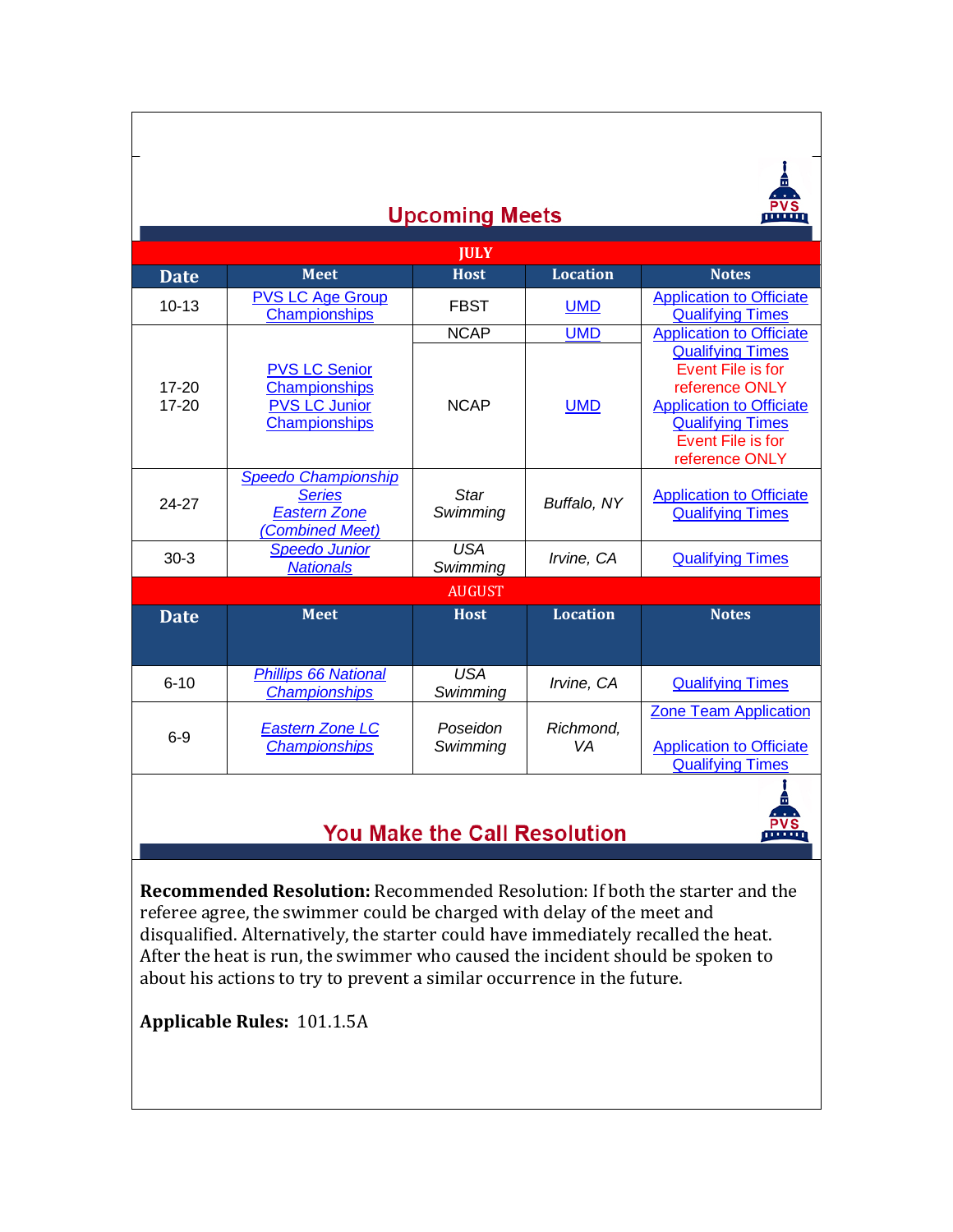| <b>Upcoming Meets</b>  |                                                                                       |                        |                 |                                                                                                                                                                     |
|------------------------|---------------------------------------------------------------------------------------|------------------------|-----------------|---------------------------------------------------------------------------------------------------------------------------------------------------------------------|
| <b>JULY</b>            |                                                                                       |                        |                 |                                                                                                                                                                     |
| <b>Date</b>            | <b>Meet</b>                                                                           | <b>Host</b>            | <b>Location</b> | <b>Notes</b>                                                                                                                                                        |
| $10 - 13$              | <b>PVS LC Age Group</b><br>Championships                                              | <b>FBST</b>            | <b>UMD</b>      | <b>Application to Officiate</b><br><b>Qualifying Times</b>                                                                                                          |
|                        |                                                                                       | <b>NCAP</b>            | <b>UMD</b>      | <b>Application to Officiate</b>                                                                                                                                     |
| $17 - 20$<br>$17 - 20$ | <b>PVS LC Senior</b><br>Championships<br><b>PVS LC Junior</b><br>Championships        | <b>NCAP</b>            | <b>UMD</b>      | <b>Qualifying Times</b><br>Event File is for<br>reference ONLY<br><b>Application to Officiate</b><br><b>Qualifying Times</b><br>Event File is for<br>reference ONLY |
| 24-27                  | <b>Speedo Championship</b><br><b>Series</b><br><b>Eastern Zone</b><br>(Combined Meet) | Star<br>Swimming       | Buffalo, NY     | <b>Application to Officiate</b><br><b>Qualifying Times</b>                                                                                                          |
| $30-3$                 | <b>Speedo Junior</b><br><b>Nationals</b>                                              | <b>USA</b><br>Swimming | Irvine, CA      | <b>Qualifying Times</b>                                                                                                                                             |
| <b>AUGUST</b>          |                                                                                       |                        |                 |                                                                                                                                                                     |
| <b>Date</b>            | <b>Meet</b>                                                                           | <b>Host</b>            | <b>Location</b> | <b>Notes</b>                                                                                                                                                        |
|                        |                                                                                       |                        |                 |                                                                                                                                                                     |
| $6 - 10$               | <b>Phillips 66 National</b><br><b>Championships</b>                                   | <b>USA</b><br>Swimming | Irvine, CA      | <b>Qualifying Times</b>                                                                                                                                             |
| $6-9$                  | <b>Eastern Zone LC</b><br><b>Championships</b>                                        | Poseidon<br>Swimming   | Richmond,<br>VA | <b>Zone Team Application</b><br><b>Application to Officiate</b><br><b>Qualifying Times</b>                                                                          |

### You Make the Call Resolution

 $\frac{PVS}{P}$ 

**Recommended Resolution:** Recommended Resolution: If both the starter and the referee agree, the swimmer could be charged with delay of the meet and disqualified. Alternatively, the starter could have immediately recalled the heat. After the heat is run, the swimmer who caused the incident should be spoken to about his actions to try to prevent a similar occurrence in the future.

**Applicable Rules:** 101.1.5A